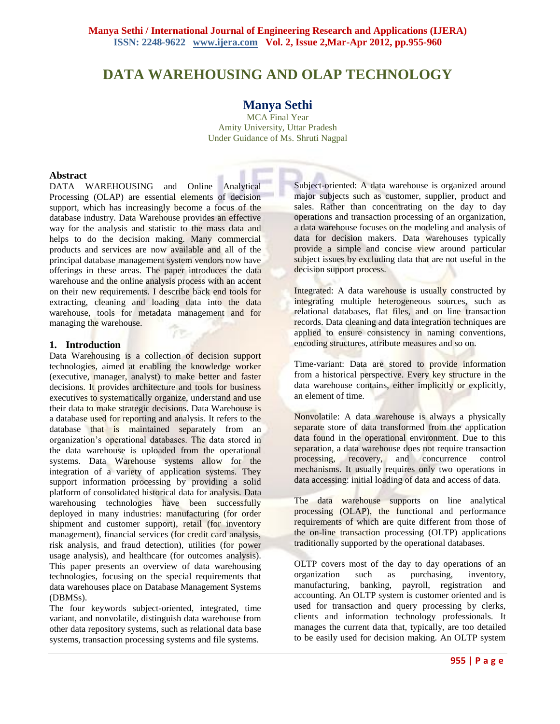# **DATA WAREHOUSING AND OLAP TECHNOLOGY**

## **Manya Sethi**

MCA Final Year Amity University, Uttar Pradesh Under Guidance of Ms. Shruti Nagpal

#### **Abstract**

DATA WAREHOUSING and Online Analytical Processing (OLAP) are essential elements of decision support, which has increasingly become a focus of the database industry. Data Warehouse provides an effective way for the analysis and statistic to the mass data and helps to do the decision making. Many commercial products and services are now available and all of the principal database management system vendors now have offerings in these areas. The paper introduces the data warehouse and the online analysis process with an accent on their new requirements. I describe back end tools for extracting, cleaning and loading data into the data warehouse, tools for metadata management and for managing the warehouse.

#### **1. Introduction**

Data Warehousing is a collection of decision support technologies, aimed at enabling the knowledge worker (executive, manager, analyst) to make better and faster decisions. It provides architecture and tools for business executives to systematically organize, understand and use their data to make strategic decisions. Data Warehouse is a database used for reporting and analysis. It refers to the database that is maintained separately from an organization's operational databases. The data stored in the data warehouse is uploaded from the operational systems. Data Warehouse systems allow for the integration of a variety of application systems. They support information processing by providing a solid platform of consolidated historical data for analysis. Data warehousing technologies have been successfully deployed in many industries: manufacturing (for order shipment and customer support), retail (for inventory management), financial services (for credit card analysis, risk analysis, and fraud detection), utilities (for power usage analysis), and healthcare (for outcomes analysis). This paper presents an overview of data warehousing technologies, focusing on the special requirements that data warehouses place on Database Management Systems (DBMSs).

The four keywords subject-oriented, integrated, time variant, and nonvolatile, distinguish data warehouse from other data repository systems, such as relational data base systems, transaction processing systems and file systems.

Subject-oriented: A data warehouse is organized around major subjects such as customer, supplier, product and sales. Rather than concentrating on the day to day operations and transaction processing of an organization, a data warehouse focuses on the modeling and analysis of data for decision makers. Data warehouses typically provide a simple and concise view around particular subject issues by excluding data that are not useful in the decision support process.

Integrated: A data warehouse is usually constructed by integrating multiple heterogeneous sources, such as relational databases, flat files, and on line transaction records. Data cleaning and data integration techniques are applied to ensure consistency in naming conventions, encoding structures, attribute measures and so on.

Time-variant: Data are stored to provide information from a historical perspective. Every key structure in the data warehouse contains, either implicitly or explicitly, an element of time.

Nonvolatile: A data warehouse is always a physically separate store of data transformed from the application data found in the operational environment. Due to this separation, a data warehouse does not require transaction processing, recovery, and concurrence control mechanisms. It usually requires only two operations in data accessing: initial loading of data and access of data.

The data warehouse supports on line analytical processing (OLAP), the functional and performance requirements of which are quite different from those of the on-line transaction processing (OLTP) applications traditionally supported by the operational databases.

OLTP covers most of the day to day operations of an organization such as purchasing, inventory, manufacturing, banking, payroll, registration and accounting. An OLTP system is customer oriented and is used for transaction and query processing by clerks, clients and information technology professionals. It manages the current data that, typically, are too detailed to be easily used for decision making. An OLTP system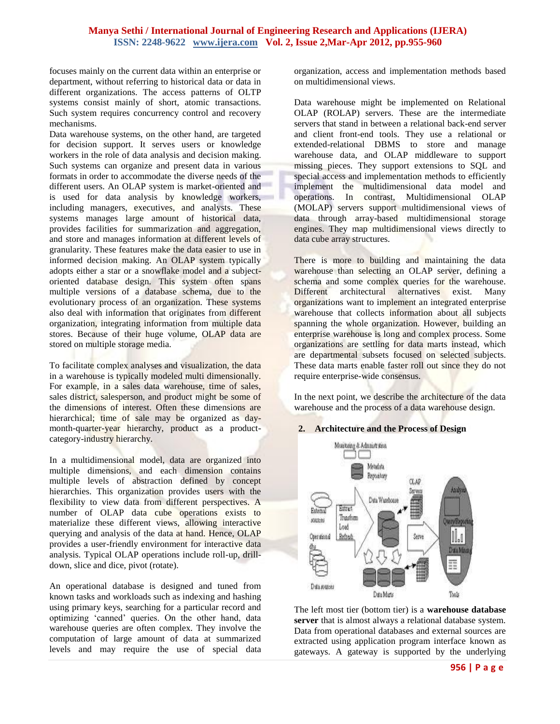focuses mainly on the current data within an enterprise or department, without referring to historical data or data in different organizations. The access patterns of OLTP systems consist mainly of short, atomic transactions. Such system requires concurrency control and recovery mechanisms.

Data warehouse systems, on the other hand, are targeted for decision support. It serves users or knowledge workers in the role of data analysis and decision making. Such systems can organize and present data in various formats in order to accommodate the diverse needs of the different users. An OLAP system is market-oriented and is used for data analysis by knowledge workers, including managers, executives, and analysts. These systems manages large amount of historical data, provides facilities for summarization and aggregation, and store and manages information at different levels of granularity. These features make the data easier to use in informed decision making. An OLAP system typically adopts either a star or a snowflake model and a subjectoriented database design. This system often spans multiple versions of a database schema, due to the evolutionary process of an organization. These systems also deal with information that originates from different organization, integrating information from multiple data stores. Because of their huge volume, OLAP data are stored on multiple storage media.

To facilitate complex analyses and visualization, the data in a warehouse is typically modeled multi dimensionally. For example, in a sales data warehouse, time of sales, sales district, salesperson, and product might be some of the dimensions of interest. Often these dimensions are hierarchical; time of sale may be organized as daymonth-quarter-year hierarchy, product as a productcategory-industry hierarchy.

In a multidimensional model, data are organized into multiple dimensions, and each dimension contains multiple levels of abstraction defined by concept hierarchies. This organization provides users with the flexibility to view data from different perspectives. A number of OLAP data cube operations exists to materialize these different views, allowing interactive querying and analysis of the data at hand. Hence, OLAP provides a user-friendly environment for interactive data analysis. Typical OLAP operations include roll-up, drilldown, slice and dice, pivot (rotate).

An operational database is designed and tuned from known tasks and workloads such as indexing and hashing using primary keys, searching for a particular record and optimizing 'canned' queries. On the other hand, data warehouse queries are often complex. They involve the computation of large amount of data at summarized levels and may require the use of special data

organization, access and implementation methods based on multidimensional views.

Data warehouse might be implemented on Relational OLAP (ROLAP) servers. These are the intermediate servers that stand in between a relational back-end server and client front-end tools. They use a relational or extended-relational DBMS to store and manage warehouse data, and OLAP middleware to support missing pieces. They support extensions to SQL and special access and implementation methods to efficiently implement the multidimensional data model and operations. In contrast, Multidimensional OLAP (MOLAP) servers support multidimensional views of data through array-based multidimensional storage engines. They map multidimensional views directly to data cube array structures.

There is more to building and maintaining the data warehouse than selecting an OLAP server, defining a schema and some complex queries for the warehouse. Different architectural alternatives exist. Many organizations want to implement an integrated enterprise warehouse that collects information about all subjects spanning the whole organization. However, building an enterprise warehouse is long and complex process. Some organizations are settling for data marts instead, which are departmental subsets focused on selected subjects. These data marts enable faster roll out since they do not require enterprise-wide consensus.

In the next point, we describe the architecture of the data warehouse and the process of a data warehouse design.

#### **2. Architecture and the Process of Design**



The left most tier (bottom tier) is a **warehouse database server** that is almost always a relational database system. Data from operational databases and external sources are extracted using application program interface known as gateways. A gateway is supported by the underlying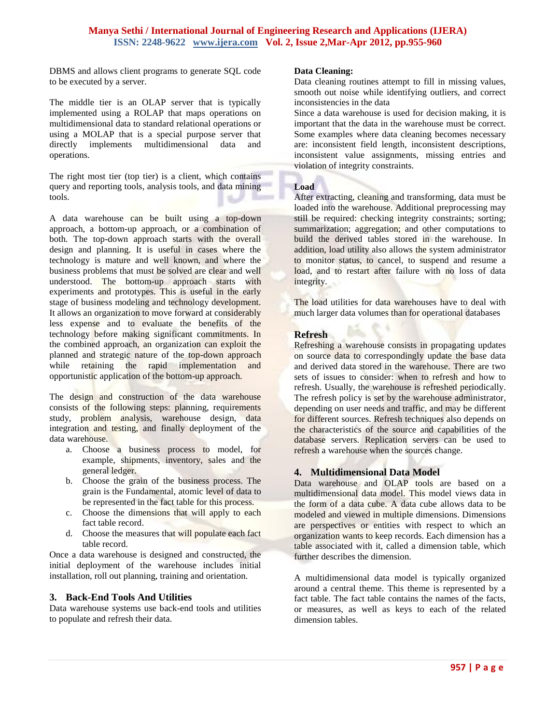DBMS and allows client programs to generate SQL code to be executed by a server.

The middle tier is an OLAP server that is typically implemented using a ROLAP that maps operations on multidimensional data to standard relational operations or using a MOLAP that is a special purpose server that directly implements multidimensional data and operations.

The right most tier (top tier) is a client, which contains query and reporting tools, analysis tools, and data mining tools. است

A data warehouse can be built using a top-down approach, a bottom-up approach, or a combination of both. The top-down approach starts with the overall design and planning. It is useful in cases where the technology is mature and well known, and where the business problems that must be solved are clear and well understood. The bottom-up approach starts with experiments and prototypes. This is useful in the early stage of business modeling and technology development. It allows an organization to move forward at considerably less expense and to evaluate the benefits of the technology before making significant commitments. In the combined approach, an organization can exploit the planned and strategic nature of the top-down approach while retaining the rapid implementation and opportunistic application of the bottom-up approach.

The design and construction of the data warehouse consists of the following steps: planning, requirements study, problem analysis, warehouse design, data integration and testing, and finally deployment of the data warehouse.

- a. Choose a business process to model, for example, shipments, inventory, sales and the general ledger.
- b. Choose the grain of the business process. The grain is the Fundamental, atomic level of data to be represented in the fact table for this process.
- c. Choose the dimensions that will apply to each fact table record.
- d. Choose the measures that will populate each fact table record.

Once a data warehouse is designed and constructed, the initial deployment of the warehouse includes initial installation, roll out planning, training and orientation.

## **3. Back-End Tools And Utilities**

Data warehouse systems use back-end tools and utilities to populate and refresh their data.

## **Data Cleaning:**

Data cleaning routines attempt to fill in missing values, smooth out noise while identifying outliers, and correct inconsistencies in the data

Since a data warehouse is used for decision making, it is important that the data in the warehouse must be correct. Some examples where data cleaning becomes necessary are: inconsistent field length, inconsistent descriptions, inconsistent value assignments, missing entries and violation of integrity constraints.

## **Load**

After extracting, cleaning and transforming, data must be loaded into the warehouse. Additional preprocessing may still be required: checking integrity constraints; sorting; summarization; aggregation; and other computations to build the derived tables stored in the warehouse. In addition, load utility also allows the system administrator to monitor status, to cancel, to suspend and resume a load, and to restart after failure with no loss of data integrity.

The load utilities for data warehouses have to deal with much larger data volumes than for operational databases

## **Refresh**

Refreshing a warehouse consists in propagating updates on source data to correspondingly update the base data and derived data stored in the warehouse. There are two sets of issues to consider: when to refresh and how to refresh. Usually, the warehouse is refreshed periodically. The refresh policy is set by the warehouse administrator, depending on user needs and traffic, and may be different for different sources. Refresh techniques also depends on the characteristics of the source and capabilities of the database servers. Replication servers can be used to refresh a warehouse when the sources change.

## **4. Multidimensional Data Model**

Data warehouse and OLAP tools are based on a multidimensional data model. This model views data in the form of a data cube. A data cube allows data to be modeled and viewed in multiple dimensions. Dimensions are perspectives or entities with respect to which an organization wants to keep records. Each dimension has a table associated with it, called a dimension table, which further describes the dimension.

A multidimensional data model is typically organized around a central theme. This theme is represented by a fact table. The fact table contains the names of the facts, or measures, as well as keys to each of the related dimension tables.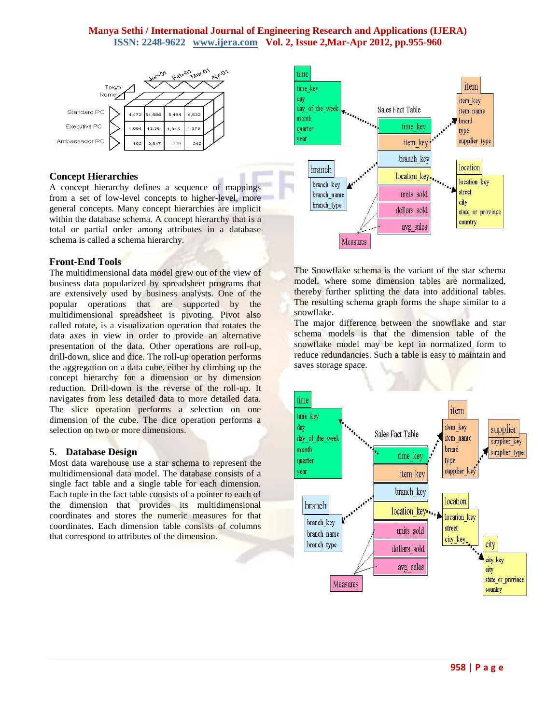

## **Concept Hierarchies**

A concept hierarchy defines a sequence of mappings from a set of low-level concepts to higher-level, more general concepts. Many concept hierarchies are implicit within the database schema. A concept hierarchy that is a total or partial order among attributes in a database schema is called a schema hierarchy.

## **Front-End Tools**

The multidimensional data model grew out of the view of business data popularized by spreadsheet programs that are extensively used by business analysts. One of the popular operations that are supported by the multidimensional spreadsheet is pivoting. Pivot also called rotate, is a visualization operation that rotates the data axes in view in order to provide an alternative presentation of the data. Other operations are roll-up, drill-down, slice and dice. The roll-up operation performs the aggregation on a data cube, either by climbing up the concept hierarchy for a dimension or by dimension reduction. Drill-down is the reverse of the roll-up. It navigates from less detailed data to more detailed data. The slice operation performs a selection on one dimension of the cube. The dice operation performs a selection on two or more dimensions.

#### 5. **Database Design**

Most data warehouse use a star schema to represent the multidimensional data model. The database consists of a single fact table and a single table for each dimension. Each tuple in the fact table consists of a pointer to each of the dimension that provides its multidimensional coordinates and stores the numeric measures for that coordinates. Each dimension table consists of columns that correspond to attributes of the dimension.



The Snowflake schema is the variant of the star schema model, where some dimension tables are normalized, thereby further splitting the data into additional tables. The resulting schema graph forms the shape similar to a snowflake.

The major difference between the snowflake and star schema models is that the dimension table of the snowflake model may be kept in normalized form to reduce redundancies. Such a table is easy to maintain and saves storage space.

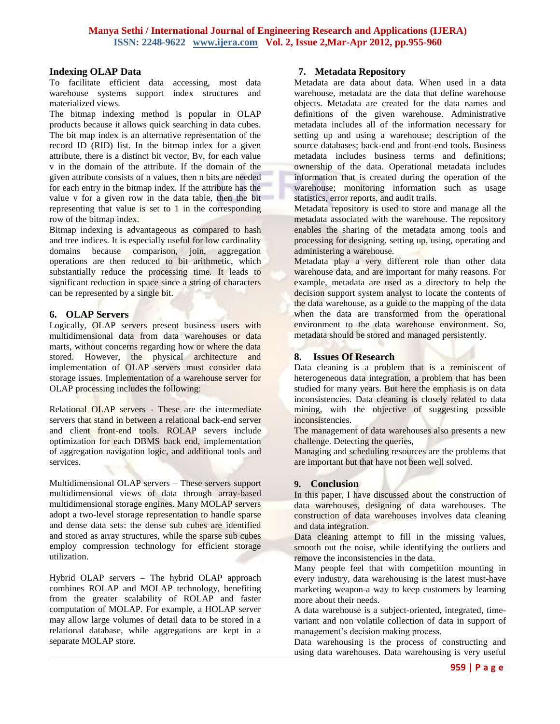#### **Indexing OLAP Data**

To facilitate efficient data accessing, most data warehouse systems support index structures and materialized views.

The bitmap indexing method is popular in OLAP products because it allows quick searching in data cubes. The bit map index is an alternative representation of the record ID (RID) list. In the bitmap index for a given attribute, there is a distinct bit vector, Bv, for each value v in the domain of the attribute. If the domain of the given attribute consists of n values, then n bits are needed for each entry in the bitmap index. If the attribute has the value v for a given row in the data table, then the bit representing that value is set to 1 in the corresponding row of the bitmap index.

Bitmap indexing is advantageous as compared to hash and tree indices. It is especially useful for low cardinality domains because comparison, join, aggregation operations are then reduced to bit arithmetic, which substantially reduce the processing time. It leads to significant reduction in space since a string of characters can be represented by a single bit.

## **6. OLAP Servers**

Logically, OLAP servers present business users with multidimensional data from data warehouses or data marts, without concerns regarding how or where the data stored. However, the physical architecture and implementation of OLAP servers must consider data storage issues. Implementation of a warehouse server for OLAP processing includes the following:

Relational OLAP servers - These are the intermediate servers that stand in between a relational back-end server and client front-end tools. ROLAP severs include optimization for each DBMS back end, implementation of aggregation navigation logic, and additional tools and services.

Multidimensional OLAP servers – These servers support multidimensional views of data through array-based multidimensional storage engines. Many MOLAP servers adopt a two-level storage representation to handle sparse and dense data sets: the dense sub cubes are identified and stored as array structures, while the sparse sub cubes employ compression technology for efficient storage utilization.

Hybrid OLAP servers – The hybrid OLAP approach combines ROLAP and MOLAP technology, benefiting from the greater scalability of ROLAP and faster computation of MOLAP. For example, a HOLAP server may allow large volumes of detail data to be stored in a relational database, while aggregations are kept in a separate MOLAP store.

#### **7. Metadata Repository**

Metadata are data about data. When used in a data warehouse, metadata are the data that define warehouse objects. Metadata are created for the data names and definitions of the given warehouse. Administrative metadata includes all of the information necessary for setting up and using a warehouse; description of the source databases; back-end and front-end tools. Business metadata includes business terms and definitions; ownership of the data. Operational metadata includes information that is created during the operation of the warehouse; monitoring information such as usage statistics, error reports, and audit trails.

Metadata repository is used to store and manage all the metadata associated with the warehouse. The repository enables the sharing of the metadata among tools and processing for designing, setting up, using, operating and administering a warehouse.

Metadata play a very different role than other data warehouse data, and are important for many reasons. For example, metadata are used as a directory to help the decision support system analyst to locate the contents of the data warehouse, as a guide to the mapping of the data when the data are transformed from the operational environment to the data warehouse environment. So, metadata should be stored and managed persistently.

## **8. Issues Of Research**

Data cleaning is a problem that is a reminiscent of heterogeneous data integration, a problem that has been studied for many years. But here the emphasis is on data inconsistencies. Data cleaning is closely related to data mining, with the objective of suggesting possible inconsistencies.

The management of data warehouses also presents a new challenge. Detecting the queries,

Managing and scheduling resources are the problems that are important but that have not been well solved.

#### **9. Conclusion**

In this paper, I have discussed about the construction of data warehouses, designing of data warehouses. The construction of data warehouses involves data cleaning and data integration.

Data cleaning attempt to fill in the missing values, smooth out the noise, while identifying the outliers and remove the inconsistencies in the data.

Many people feel that with competition mounting in every industry, data warehousing is the latest must-have marketing weapon-a way to keep customers by learning more about their needs.

A data warehouse is a subject-oriented, integrated, timevariant and non volatile collection of data in support of management's decision making process.

Data warehousing is the process of constructing and using data warehouses. Data warehousing is very useful